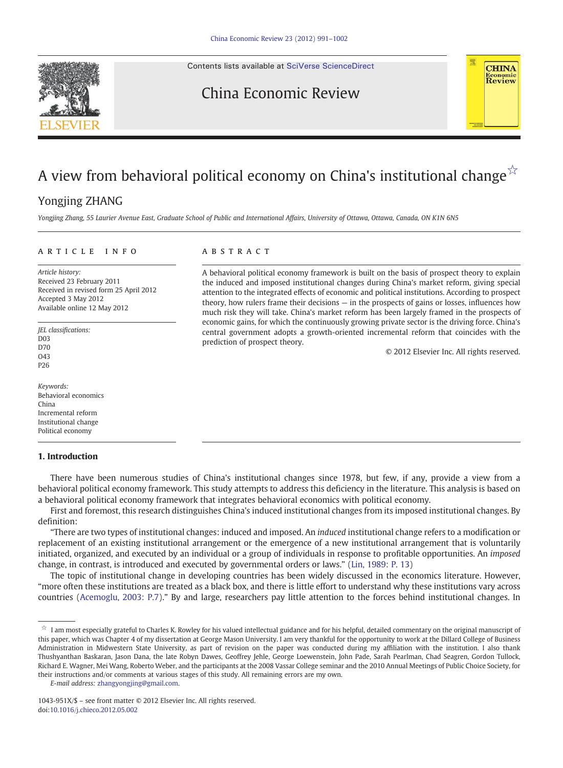Contents lists available at [SciVerse ScienceDirect](http://www.sciencedirect.com/science/journal/1043951X)



# China Economic Review



# A view from behavioral political economy on China's institutional change $\hat{X}$

## Yongjing ZHANG

Yongjing Zhang, 55 Laurier Avenue East, Graduate School of Public and International Affairs, University of Ottawa, Ottawa, Canada, ON K1N 6N5

### article info abstract

Article history: Received 23 February 2011 Received in revised form 25 April 2012 Accepted 3 May 2012 Available online 12 May 2012

JEL classifications: D03 D70  $\Omega$ 43 P26

Keywords: Behavioral economics China Incremental reform Institutional change Political economy

#### 1. Introduction

A behavioral political economy framework is built on the basis of prospect theory to explain the induced and imposed institutional changes during China's market reform, giving special attention to the integrated effects of economic and political institutions. According to prospect theory, how rulers frame their decisions — in the prospects of gains or losses, influences how much risk they will take. China's market reform has been largely framed in the prospects of economic gains, for which the continuously growing private sector is the driving force. China's central government adopts a growth-oriented incremental reform that coincides with the prediction of prospect theory.

© 2012 Elsevier Inc. All rights reserved.

There have been numerous studies of China's institutional changes since 1978, but few, if any, provide a view from a behavioral political economy framework. This study attempts to address this deficiency in the literature. This analysis is based on a behavioral political economy framework that integrates behavioral economics with political economy.

First and foremost, this research distinguishes China's induced institutional changes from its imposed institutional changes. By definition:

"There are two types of institutional changes: induced and imposed. An induced institutional change refers to a modification or replacement of an existing institutional arrangement or the emergence of a new institutional arrangement that is voluntarily initiated, organized, and executed by an individual or a group of individuals in response to profitable opportunities. An imposed change, in contrast, is introduced and executed by governmental orders or laws." ([Lin, 1989: P. 13](#page--1-0))

The topic of institutional change in developing countries has been widely discussed in the economics literature. However, "more often these institutions are treated as a black box, and there is little effort to understand why these institutions vary across countries [\(Acemoglu, 2003: P.7\)](#page--1-0)." By and large, researchers pay little attention to the forces behind institutional changes. In

<sup>☆</sup> I am most especially grateful to Charles K. Rowley for his valued intellectual guidance and for his helpful, detailed commentary on the original manuscript of this paper, which was Chapter 4 of my dissertation at George Mason University. I am very thankful for the opportunity to work at the Dillard College of Business Administration in Midwestern State University, as part of revision on the paper was conducted during my affiliation with the institution. I also thank Thushyanthan Baskaran, Jason Dana, the late Robyn Dawes, Geoffrey Jehle, George Loewenstein, John Pade, Sarah Pearlman, Chad Seagren, Gordon Tullock, Richard E. Wagner, Mei Wang, Roberto Weber, and the participants at the 2008 Vassar College seminar and the 2010 Annual Meetings of Public Choice Society, for their instructions and/or comments at various stages of this study. All remaining errors are my own.

E-mail address: [zhangyongjing@gmail.com](mailto:zhangyongjing@gmail.com).

<sup>1043-951</sup>X/\$ – see front matter © 2012 Elsevier Inc. All rights reserved. doi[:10.1016/j.chieco.2012.05.002](http://dx.doi.org/10.1016/j.chieco.2012.05.002)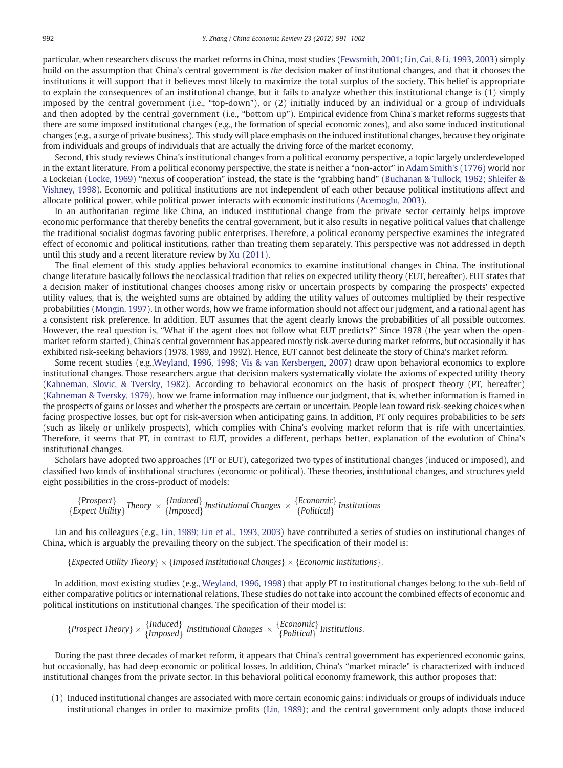particular, when researchers discuss the market reforms in China, most studies [\(Fewsmith, 2001; Lin, Cai, & Li, 1993, 2003\)](#page--1-0) simply build on the assumption that China's central government is the decision maker of institutional changes, and that it chooses the institutions it will support that it believes most likely to maximize the total surplus of the society. This belief is appropriate to explain the consequences of an institutional change, but it fails to analyze whether this institutional change is (1) simply imposed by the central government (i.e., "top-down"), or (2) initially induced by an individual or a group of individuals and then adopted by the central government (i.e., "bottom up"). Empirical evidence from China's market reforms suggests that there are some imposed institutional changes (e.g., the formation of special economic zones), and also some induced institutional changes (e.g., a surge of private business). This study will place emphasis on the induced institutional changes, because they originate from individuals and groups of individuals that are actually the driving force of the market economy.

Second, this study reviews China's institutional changes from a political economy perspective, a topic largely underdeveloped in the extant literature. From a political economy perspective, the state is neither a "non-actor" in [Adam Smith's \(1776\)](#page--1-0) world nor a Lockeian [\(Locke, 1969](#page--1-0)) "nexus of cooperation" instead, the state is the "grabbing hand" [\(Buchanan & Tullock, 1962; Shleifer &](#page--1-0) [Vishney, 1998](#page--1-0)). Economic and political institutions are not independent of each other because political institutions affect and allocate political power, while political power interacts with economic institutions [\(Acemoglu, 2003](#page--1-0)).

In an authoritarian regime like China, an induced institutional change from the private sector certainly helps improve economic performance that thereby benefits the central government, but it also results in negative political values that challenge the traditional socialist dogmas favoring public enterprises. Therefore, a political economy perspective examines the integrated effect of economic and political institutions, rather than treating them separately. This perspective was not addressed in depth until this study and a recent literature review by [Xu \(2011\)](#page--1-0).

The final element of this study applies behavioral economics to examine institutional changes in China. The institutional change literature basically follows the neoclassical tradition that relies on expected utility theory (EUT, hereafter). EUT states that a decision maker of institutional changes chooses among risky or uncertain prospects by comparing the prospects' expected utility values, that is, the weighted sums are obtained by adding the utility values of outcomes multiplied by their respective probabilities [\(Mongin, 1997](#page--1-0)). In other words, how we frame information should not affect our judgment, and a rational agent has a consistent risk preference. In addition, EUT assumes that the agent clearly knows the probabilities of all possible outcomes. However, the real question is, "What if the agent does not follow what EUT predicts?" Since 1978 (the year when the openmarket reform started), China's central government has appeared mostly risk-averse during market reforms, but occasionally it has exhibited risk-seeking behaviors (1978, 1989, and 1992). Hence, EUT cannot best delineate the story of China's market reform.

Some recent studies (e.g.,[Weyland, 1996, 1998; Vis & van Kersbergen, 2007\)](#page--1-0) draw upon behavioral economics to explore institutional changes. Those researchers argue that decision makers systematically violate the axioms of expected utility theory ([Kahneman, Slovic, & Tversky, 1982](#page--1-0)). According to behavioral economics on the basis of prospect theory (PT, hereafter) ([Kahneman & Tversky, 1979](#page--1-0)), how we frame information may influence our judgment, that is, whether information is framed in the prospects of gains or losses and whether the prospects are certain or uncertain. People lean toward risk-seeking choices when facing prospective losses, but opt for risk-aversion when anticipating gains. In addition, PT only requires probabilities to be sets (such as likely or unlikely prospects), which complies with China's evolving market reform that is rife with uncertainties. Therefore, it seems that PT, in contrast to EUT, provides a different, perhaps better, explanation of the evolution of China's institutional changes.

Scholars have adopted two approaches (PT or EUT), categorized two types of institutional changes (induced or imposed), and classified two kinds of institutional structures (economic or political). These theories, institutional changes, and structures yield eight possibilities in the cross-product of models:

{*Prospect*}  
{*Expected*}  
{*Import Utility*}  
 
$$
^{IInduced}
$$
}  
 *Instructional Changes* × {*Économic*}  
 *Induced*}  
 *Initial*}  
 *Intuiting*

Lin and his colleagues (e.g., [Lin, 1989; Lin et al., 1993, 2003](#page--1-0)) have contributed a series of studies on institutional changes of China, which is arguably the prevailing theory on the subject. The specification of their model is:

 ${Expected Utility Theory} \times {Imposed Institutional Changes} \times {Economic Institutions}.$ 

In addition, most existing studies (e.g., [Weyland, 1996, 1998\)](#page--1-0) that apply PT to institutional changes belong to the sub-field of either comparative politics or international relations. These studies do not take into account the combined effects of economic and political institutions on institutional changes. The specification of their model is:

{Prospect Theory}  $\times$  {Induced} Institutional Changes  $\times$  {Economic} Institutions.<br>{Political} Institutions:

During the past three decades of market reform, it appears that China's central government has experienced economic gains, but occasionally, has had deep economic or political losses. In addition, China's "market miracle" is characterized with induced institutional changes from the private sector. In this behavioral political economy framework, this author proposes that:

(1) Induced institutional changes are associated with more certain economic gains: individuals or groups of individuals induce institutional changes in order to maximize profits ([Lin, 1989](#page--1-0)); and the central government only adopts those induced